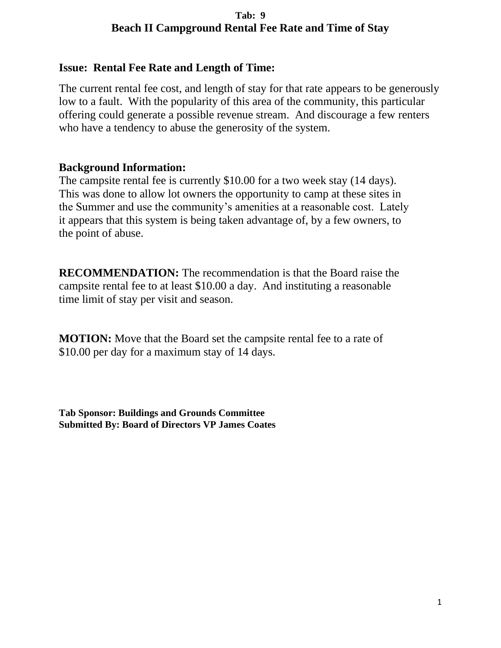## **Tab: 9 Beach II Campground Rental Fee Rate and Time of Stay**

## **Issue: Rental Fee Rate and Length of Time:**

The current rental fee cost, and length of stay for that rate appears to be generously low to a fault. With the popularity of this area of the community, this particular offering could generate a possible revenue stream. And discourage a few renters who have a tendency to abuse the generosity of the system.

## **Background Information:**

The campsite rental fee is currently \$10.00 for a two week stay (14 days). This was done to allow lot owners the opportunity to camp at these sites in the Summer and use the community's amenities at a reasonable cost. Lately it appears that this system is being taken advantage of, by a few owners, to the point of abuse.

**RECOMMENDATION:** The recommendation is that the Board raise the campsite rental fee to at least \$10.00 a day. And instituting a reasonable time limit of stay per visit and season.

**MOTION:** Move that the Board set the campsite rental fee to a rate of \$10.00 per day for a maximum stay of 14 days.

**Tab Sponsor: Buildings and Grounds Committee Submitted By: Board of Directors VP James Coates**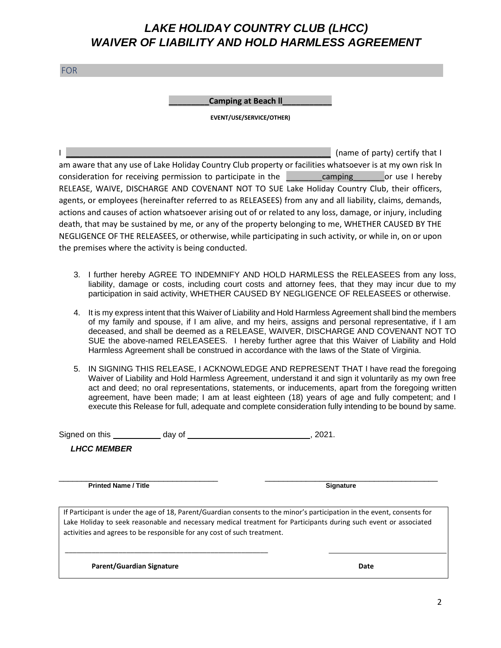# *LAKE HOLIDAY COUNTRY CLUB (LHCC) WAIVER OF LIABILITY AND HOLD HARMLESS AGREEMENT*

FOR

#### **Camping at Beach II**

**EVENT/USE/SERVICE/OTHER)**

I **I EXECUTE A LOCAL CONSUMPTION CONSUMPTION** (name of party) certify that I am aware that any use of Lake Holiday Country Club property or facilities whatsoever is at my own risk In consideration for receiving permission to participate in the camping or use I hereby RELEASE, WAIVE, DISCHARGE AND COVENANT NOT TO SUE Lake Holiday Country Club, their officers, agents, or employees (hereinafter referred to as RELEASEES) from any and all liability, claims, demands, actions and causes of action whatsoever arising out of or related to any loss, damage, or injury, including death, that may be sustained by me, or any of the property belonging to me, WHETHER CAUSED BY THE NEGLIGENCE OF THE RELEASEES, or otherwise, while participating in such activity, or while in, on or upon the premises where the activity is being conducted.

- 3. I further hereby AGREE TO INDEMNIFY AND HOLD HARMLESS the RELEASEES from any loss, liability, damage or costs, including court costs and attorney fees, that they may incur due to my participation in said activity, WHETHER CAUSED BY NEGLIGENCE OF RELEASEES or otherwise.
- 4. It is my express intent that this Waiver of Liability and Hold Harmless Agreement shall bind the members of my family and spouse, if I am alive, and my heirs, assigns and personal representative, if I am deceased, and shall be deemed as a RELEASE, WAIVER, DISCHARGE AND COVENANT NOT TO SUE the above-named RELEASEES. I hereby further agree that this Waiver of Liability and Hold Harmless Agreement shall be construed in accordance with the laws of the State of Virginia.
- 5. IN SIGNING THIS RELEASE, I ACKNOWLEDGE AND REPRESENT THAT I have read the foregoing Waiver of Liability and Hold Harmless Agreement, understand it and sign it voluntarily as my own free act and deed; no oral representations, statements, or inducements, apart from the foregoing written agreement, have been made; I am at least eighteen (18) years of age and fully competent; and I execute this Release for full, adequate and complete consideration fully intending to be bound by same.

Signed on this day of , 2021.

*LHCC MEMBER*

\_\_\_\_\_\_\_\_\_\_\_\_\_\_\_\_\_\_\_\_\_\_\_\_\_\_\_\_\_\_\_\_\_\_\_ \_\_\_\_\_\_\_\_\_\_\_\_\_\_\_\_\_\_\_\_\_\_\_\_\_\_\_\_\_\_\_\_\_\_\_\_\_\_ **Printed Name / Title Signature** Signature

If Participant is under the age of 18, Parent/Guardian consents to the minor's participation in the event, consents for Lake Holiday to seek reasonable and necessary medical treatment for Participants during such event or associated activities and agrees to be responsible for any cost of such treatment.

**Parent/Guardian Signature Date According to the United States of Date** 

\_\_\_\_\_\_\_\_\_\_\_\_\_\_\_\_\_\_\_\_\_\_\_\_\_\_\_\_\_\_\_\_\_\_\_\_\_\_\_\_\_\_\_\_\_\_\_\_\_\_\_\_\_